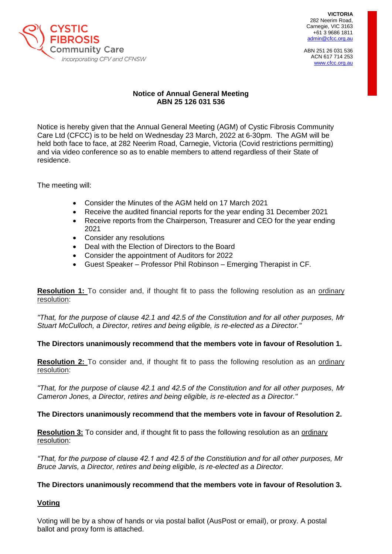

Carnegie, VIC 3163 **VICTORIA**  282 Neerim Road, +61 3 9686 1811 [admin@cfcc.org.au](mailto:admin@cfcc.org.au)

ABN 251 26 031 536 ACN 617 714 253 [www.cfcc.org.au](http://www.cfcc.org.au/)

# **Notice of Annual General Meeting ABN 25 126 031 536**

Notice is hereby given that the Annual General Meeting (AGM) of Cystic Fibrosis Community Care Ltd (CFCC) is to be held on Wednesday 23 March, 2022 at 6-30pm. The AGM will be held both face to face, at 282 Neerim Road, Carnegie, Victoria (Covid restrictions permitting) and via video conference so as to enable members to attend regardless of their State of residence.

The meeting will:

- Consider the Minutes of the AGM held on 17 March 2021
- Receive the audited financial reports for the year ending 31 December 2021
- Receive reports from the Chairperson, Treasurer and CEO for the year ending 2021
- Consider any resolutions
- Deal with the Election of Directors to the Board
- Consider the appointment of Auditors for 2022
- Guest Speaker Professor Phil Robinson Emerging Therapist in CF.

**Resolution 1:** To consider and, if thought fit to pass the following resolution as an ordinary resolution:

*"That, for the purpose of clause 42.1 and 42.5 of the Constitution and for all other purposes, Mr Stuart McCulloch, a Director, retires and being eligible, is re-elected as a Director."*

**The Directors unanimously recommend that the members vote in favour of Resolution 1.**

**Resolution 2:** To consider and, if thought fit to pass the following resolution as an ordinary resolution:

*"That, for the purpose of clause 42.1 and 42.5 of the Constitution and for all other purposes, Mr Cameron Jones, a Director, retires and being eligible, is re-elected as a Director."*

## **The Directors unanimously recommend that the members vote in favour of Resolution 2.**

**Resolution 3:** To consider and, if thought fit to pass the following resolution as an ordinary resolution:

*"That, for the purpose of clause 42.1 and 42.5 of the Constitiution and for all other purposes, Mr Bruce Jarvis, a Director, retires and being eligible, is re-elected as a Director.*

## **The Directors unanimously recommend that the members vote in favour of Resolution 3.**

## **Voting**

Voting will be by a show of hands or via postal ballot (AusPost or email), or proxy. A postal ballot and proxy form is attached.